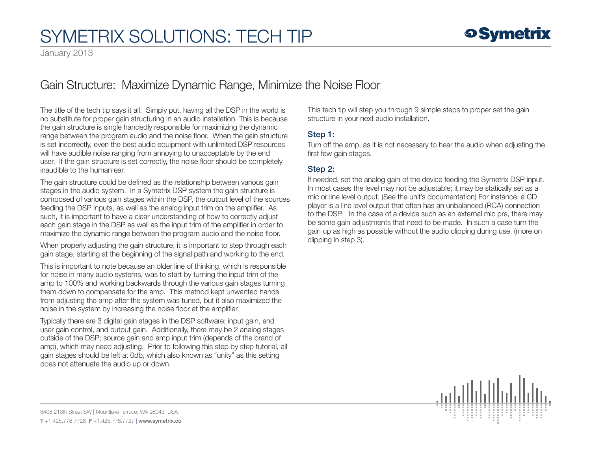

January 2013

### Gain Structure: Maximize Dynamic Range, Minimize the Noise Floor

The title of the tech tip says it all. Simply put, having all the DSP in the world is no substitute for proper gain structuring in an audio installation. This is because the gain structure is single handedly responsible for maximizing the dynamic range between the program audio and the noise floor. When the gain structure is set incorrectly, even the best audio equipment with unlimited DSP resources will have audible noise ranging from annoying to unacceptable by the end user. If the gain structure is set correctly, the noise floor should be completely inaudible to the human ear.

The gain structure could be defined as the relationship between various gain stages in the audio system. In a Symetrix DSP system the gain structure is composed of various gain stages within the DSP, the output level of the sources feeding the DSP inputs, as well as the analog input trim on the amplifier. As such, it is important to have a clear understanding of how to correctly adjust each gain stage in the DSP as well as the input trim of the amplifier in order to maximize the dynamic range between the program audio and the noise floor.

When properly adjusting the gain structure, it is important to step through each gain stage, starting at the beginning of the signal path and working to the end.

This is important to note because an older line of thinking, which is responsible for noise in many audio systems, was to start by turning the input trim of the amp to 100% and working backwards through the various gain stages turning them down to compensate for the amp. This method kept unwanted hands from adjusting the amp after the system was tuned, but it also maximized the noise in the system by increasing the noise floor at the amplifier.

Typically there are 3 digital gain stages in the DSP software; input gain, end user gain control, and output gain. Additionally, there may be 2 analog stages outside of the DSP; source gain and amp input trim (depends of the brand of amp), which may need adjusting. Prior to following this step by step tutorial, all gain stages should be left at 0db, which also known as "unity" as this setting does not attenuate the audio up or down.

This tech tip will step you through 9 simple steps to proper set the gain structure in your next audio installation.

#### Step 1:

Turn off the amp, as it is not necessary to hear the audio when adjusting the first few gain stages.

### Step 2:

If needed, set the analog gain of the device feeding the Symetrix DSP input. In most cases the level may not be adjustable; it may be statically set as a mic or line level output. (See the unit's documentation) For instance, a CD player is a line level output that often has an unbalanced (RCA) connection to the DSP. In the case of a device such as an external mic pre, there may be some gain adjustments that need to be made. In such a case turn the gain up as high as possible without the audio clipping during use. (more on clipping in step 3).

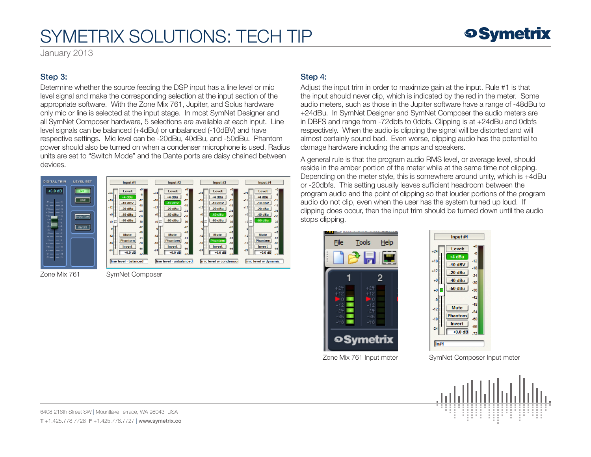January 2013

#### Step 3:

Determine whether the source feeding the DSP input has a line level or mic level signal and make the corresponding selection at the input section of the appropriate software. With the Zone Mix 761, Jupiter, and Solus hardware only mic or line is selected at the input stage. In most SymNet Designer and all SymNet Composer hardware, 5 selections are available at each input. Line level signals can be balanced (+4dBu) or unbalanced (-10dBV) and have respective settings. Mic level can be -20dBu, 40dBu, and -50dBu. Phantom power should also be turned on when a condenser microphone is used. Radius units are set to "Switch Mode" and the Dante ports are daisy chained between devices.



Zone Mix 761 SymNet Composer

#### Step 4:

Adjust the input trim in order to maximize gain at the input. Rule #1 is that the input should never clip, which is indicated by the red in the meter. Some audio meters, such as those in the Jupiter software have a range of -48dBu to +24dBu. In SymNet Designer and SymNet Composer the audio meters are in DBFS and range from -72dbfs to 0dbfs. Clipping is at +24dBu and 0dbfs respectively. When the audio is clipping the signal will be distorted and will almost certainly sound bad. Even worse, clipping audio has the potential to damage hardware including the amps and speakers.

A general rule is that the program audio RMS level, or average level, should reside in the amber portion of the meter while at the same time not clipping. Depending on the meter style, this is somewhere around unity, which is +4dBu or -20dbfs. This setting usually leaves sufficient headroom between the program audio and the point of clipping so that louder portions of the program audio do not clip, even when the user has the system turned up loud. If clipping does occur, then the input trim should be turned down until the audio stops clipping.





Zone Mix 761 Input meter SymNet Composer Input meter

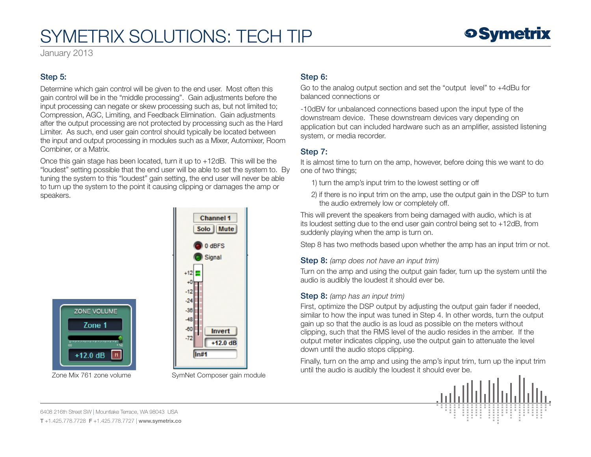January 2013

### Step 5:

Determine which gain control will be given to the end user. Most often this gain control will be in the "middle processing". Gain adjustments before the input processing can negate or skew processing such as, but not limited to; Compression, AGC, Limiting, and Feedback Elimination. Gain adjustments after the output processing are not protected by processing such as the Hard Limiter. As such, end user gain control should typically be located between the input and output processing in modules such as a Mixer, Automixer, Room Combiner, or a Matrix.

Once this gain stage has been located, turn it up to +12dB. This will be the "loudest" setting possible that the end user will be able to set the system to. By tuning the system to this "loudest" gain setting, the end user will never be able to turn up the system to the point it causing clipping or damages the amp or speakers.





#### Step 6:

Go to the analog output section and set the "output level" to +4dBu for balanced connections or

-10dBV for unbalanced connections based upon the input type of the downstream device. These downstream devices vary depending on application but can included hardware such as an amplifier, assisted listening system, or media recorder.

#### Step 7:

It is almost time to turn on the amp, however, before doing this we want to do one of two things;

- 1) turn the amp's input trim to the lowest setting or off
- 2) if there is no input trim on the amp, use the output gain in the DSP to turn the audio extremely low or completely off.

This will prevent the speakers from being damaged with audio, which is at its loudest setting due to the end user gain control being set to +12dB, from suddenly playing when the amp is turn on.

Step 8 has two methods based upon whether the amp has an input trim or not.

#### Step 8: *(amp does not have an input trim)*

Turn on the amp and using the output gain fader, turn up the system until the audio is audibly the loudest it should ever be.

#### Step 8: *(amp has an input trim)*

First, optimize the DSP output by adjusting the output gain fader if needed, similar to how the input was tuned in Step 4. In other words, turn the output gain up so that the audio is as loud as possible on the meters without clipping, such that the RMS level of the audio resides in the amber. If the output meter indicates clipping, use the output gain to attenuate the level down until the audio stops clipping.

Finally, turn on the amp and using the amp's input trim, turn up the input trim until the audio is audibly the loudest it should ever be.<br>Zone Mix 761 zone volume SymNet Composer gain module